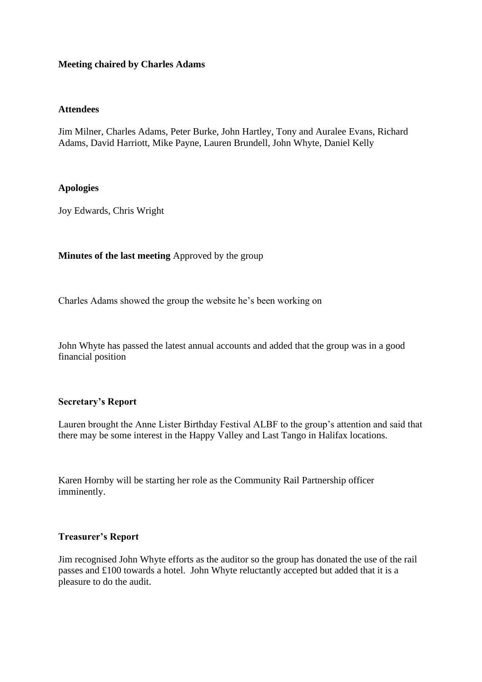## **Meeting chaired by Charles Adams**

## **Attendees**

Jim Milner, Charles Adams, Peter Burke, John Hartley, Tony and Auralee Evans, Richard Adams, David Harriott, Mike Payne, Lauren Brundell, John Whyte, Daniel Kelly

## **Apologies**

Joy Edwards, Chris Wright

## **Minutes of the last meeting** Approved by the group

Charles Adams showed the group the website he's been working on

John Whyte has passed the latest annual accounts and added that the group was in a good financial position

## **Secretary's Report**

Lauren brought the Anne Lister Birthday Festival ALBF to the group's attention and said that there may be some interest in the Happy Valley and Last Tango in Halifax locations.

Karen Hornby will be starting her role as the Community Rail Partnership officer imminently.

## **Treasurer's Report**

Jim recognised John Whyte efforts as the auditor so the group has donated the use of the rail passes and £100 towards a hotel. John Whyte reluctantly accepted but added that it is a pleasure to do the audit.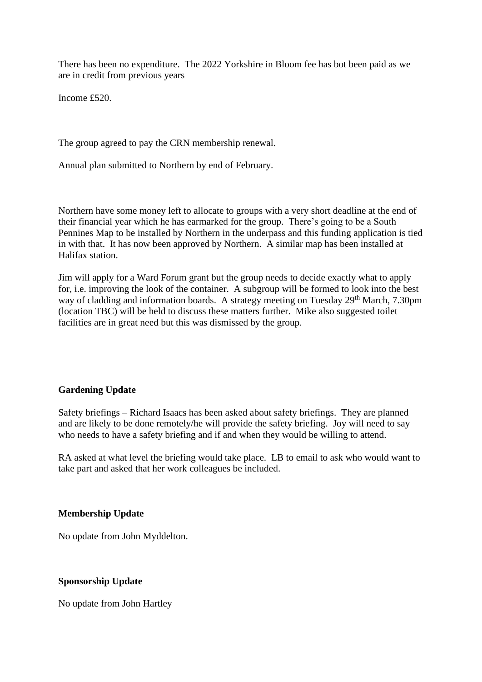There has been no expenditure. The 2022 Yorkshire in Bloom fee has bot been paid as we are in credit from previous years

Income £520.

The group agreed to pay the CRN membership renewal.

Annual plan submitted to Northern by end of February.

Northern have some money left to allocate to groups with a very short deadline at the end of their financial year which he has earmarked for the group. There's going to be a South Pennines Map to be installed by Northern in the underpass and this funding application is tied in with that. It has now been approved by Northern. A similar map has been installed at Halifax station.

Jim will apply for a Ward Forum grant but the group needs to decide exactly what to apply for, i.e. improving the look of the container. A subgroup will be formed to look into the best way of cladding and information boards. A strategy meeting on Tuesday 29<sup>th</sup> March, 7.30pm (location TBC) will be held to discuss these matters further. Mike also suggested toilet facilities are in great need but this was dismissed by the group.

## **Gardening Update**

Safety briefings – Richard Isaacs has been asked about safety briefings. They are planned and are likely to be done remotely/he will provide the safety briefing. Joy will need to say who needs to have a safety briefing and if and when they would be willing to attend.

RA asked at what level the briefing would take place. LB to email to ask who would want to take part and asked that her work colleagues be included.

#### **Membership Update**

No update from John Myddelton.

## **Sponsorship Update**

No update from John Hartley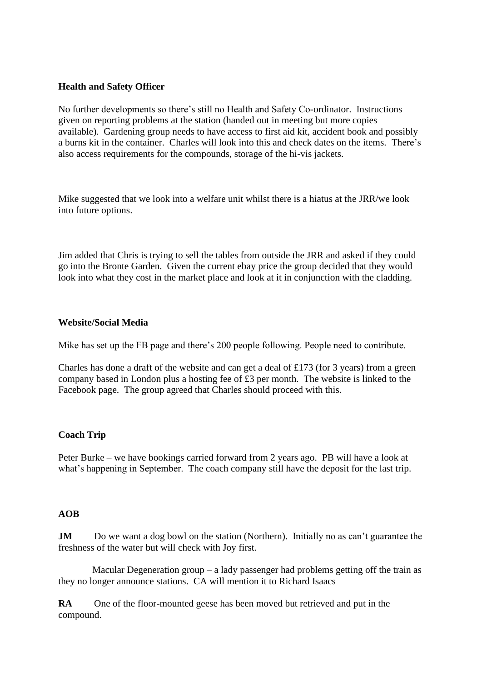## **Health and Safety Officer**

No further developments so there's still no Health and Safety Co-ordinator. Instructions given on reporting problems at the station (handed out in meeting but more copies available). Gardening group needs to have access to first aid kit, accident book and possibly a burns kit in the container. Charles will look into this and check dates on the items. There's also access requirements for the compounds, storage of the hi-vis jackets.

Mike suggested that we look into a welfare unit whilst there is a hiatus at the JRR/we look into future options.

Jim added that Chris is trying to sell the tables from outside the JRR and asked if they could go into the Bronte Garden. Given the current ebay price the group decided that they would look into what they cost in the market place and look at it in conjunction with the cladding.

## **Website/Social Media**

Mike has set up the FB page and there's 200 people following. People need to contribute.

Charles has done a draft of the website and can get a deal of £173 (for 3 years) from a green company based in London plus a hosting fee of £3 per month. The website is linked to the Facebook page. The group agreed that Charles should proceed with this.

# **Coach Trip**

Peter Burke – we have bookings carried forward from 2 years ago. PB will have a look at what's happening in September. The coach company still have the deposit for the last trip.

# **AOB**

**JM** Do we want a dog bowl on the station (Northern). Initially no as can't guarantee the freshness of the water but will check with Joy first.

 Macular Degeneration group – a lady passenger had problems getting off the train as they no longer announce stations. CA will mention it to Richard Isaacs

**RA** One of the floor-mounted geese has been moved but retrieved and put in the compound.